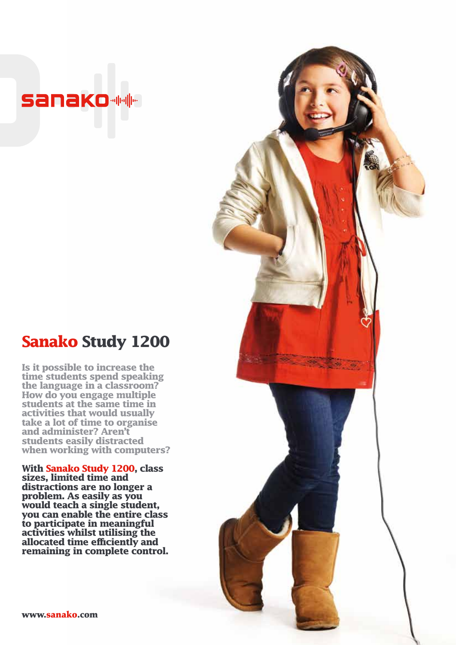## **Sanako MM**

## **Sanako Study 1200**

**Is it possible to increase the time students spend speaking the language in a classroom? How do you engage multiple students at the same time in activities that would usually take a lot of time to organise and administer? Aren't students easily distracted when working with computers?** 

**With Sanako Study 1200, class sizes, limited time and distractions are no longer a problem. As easily as you would teach a single student, you can enable the entire class to participate in meaningful activities whilst utilising the allocated time efficiently and remaining in complete control.** 

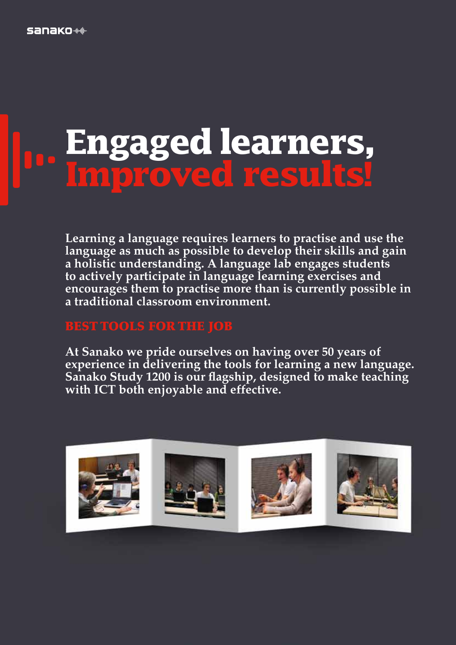# **Engaged learners, Improved results!**

**Learning a language requires learners to practise and use the language as much as possible to develop their skills and gain a holistic understanding. A language lab engages students to actively participate in language learning exercises and encourages them to practise more than is currently possible in a traditional classroom environment.** 

### BEST TOOLS FOR THE JOB

**At Sanako we pride ourselves on having over 50 years of experience in delivering the tools for learning a new language. Sanako Study 1200 is our flagship, designed to make teaching with ICT both enjoyable and effective.**

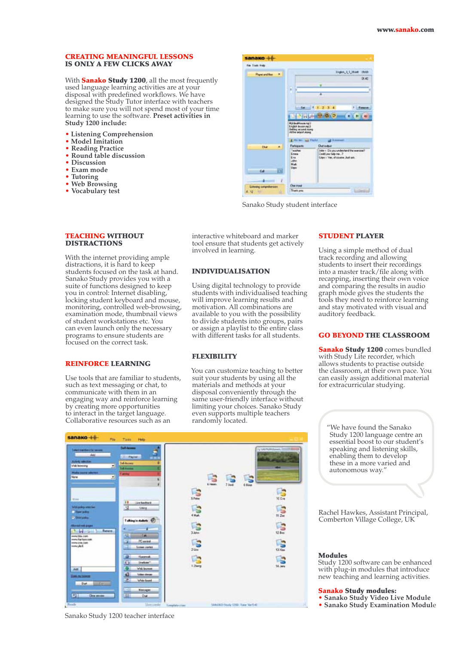#### CREATING MEANINGFUL LESSONS IS ONLY A FEW CLICKS AWAY

With **Sanako Study 1200**, all the most frequently used language learning activities are at your disposal with predefined workflows. We have designed the Study Tutor interface with teachers to make sure you will not spend most of your time learning to use the software. **Preset activities in Study 1200 include:**

- **• Listening Comprehension**
- **• Model Imitation**
- **• Reading Practice**
- **• Round table discussion**
- **• Discussion**
- **• Exam mode**
- **• Tutoring**
- **• Web Browsing**
- **• Vocabulary test**

| sanako                         |                                                                     |                                                                                                   |          |
|--------------------------------|---------------------------------------------------------------------|---------------------------------------------------------------------------------------------------|----------|
| Fax Time Field                 |                                                                     |                                                                                                   |          |
| <b><i>Playet and films</i></b> |                                                                     | Highis, L.L.Theft                                                                                 | mm       |
|                                |                                                                     |                                                                                                   | 06,42    |
|                                | Þ                                                                   |                                                                                                   |          |
|                                | 'n                                                                  | ٠                                                                                                 |          |
|                                |                                                                     |                                                                                                   |          |
|                                |                                                                     |                                                                                                   |          |
|                                | Set                                                                 |                                                                                                   | European |
|                                | first both                                                          | ಣ                                                                                                 |          |
|                                | Middle of Fourier Pali<br>English Immorrang 3<br>deling around more |                                                                                                   |          |
|                                | All the state files.<br>E He bee and Fladel                         | Life Alanamed                                                                                     |          |
|                                | Palicipante                                                         | <b>Chat in Abul</b>                                                                               |          |
| <b>Chat</b>                    | Teacher<br>Eries<br>tis.<br>John<br><b>Haki</b>                     | John < Do you understand the exercise?<br>Coold you help me. 7<br>Lips : Yas, of course, Just am. |          |
| Cd.                            | <b>Upo</b>                                                          |                                                                                                   |          |
| Lidewing congreternance        | <b>Charles</b>                                                      |                                                                                                   |          |

Sanako Study student interface

#### TEACHING WITHOUT DISTRACTIONS

With the internet providing ample distractions, it is hard to keep students focused on the task at hand. Sanako Study provides you with a suite of functions designed to keep you in control: Internet disabling, locking student keyboard and mouse, monitoring, controlled web-browsing, examination mode, thumbnail views of student workstations etc. You can even launch only the necessary programs to ensure students are focused on the correct task.

#### REINFORCE LEARNING

Use tools that are familiar to students, such as text messaging or chat, to communicate with them in an engaging way and reinforce learning by creating more opportunities to interact in the target language. Collaborative resources such as an

interactive whiteboard and marker tool ensure that students get actively involved in learning.

#### INDIVIDUALISATION

Using digital technology to provide students with individualised teaching will improve learning results and motivation. All combinations are available to you with the possibility to divide students into groups, pairs or assign a playlist to the entire class with different tasks for all students.

#### FLEXIBILITY

You can customize teaching to better suit your students by using all the materials and methods at your disposal conveniently through the same user-friendly interface without limiting your choices. Sanako Study even supports multiple teachers randomly located.

#### STUDENT PLAYER

Using a simple method of dual track recording and allowing students to insert their recordings into a master track/file along with recapping, inserting their own voice and comparing the results in audio graph mode gives the students the tools they need to reinforce learning and stay motivated with visual and auditory feedback.

#### GO BEYOND THE CLASSROOM

Sanako Study 1200 comes bundled with Study Lite recorder, which allows students to practise outside the classroom, at their own pace. You can easily assign additional material for extracurricular studying.



Sanako Study 1200 teacher interface

"We have found the Sanako Study 1200 language centre an essential boost to our student's speaking and listening skills, enabling them to develop these in a more varied and autonomous way."

Rachel Hawkes, Assistant Principal, Comberton Village College, UK

#### Modules

Study 1200 software can be enhanced with plug-in modules that introduce new teaching and learning activities.

#### Sanako Study modules:

- **• Sanako Study Video Live Module**
- **• Sanako Study Examination Modul**e